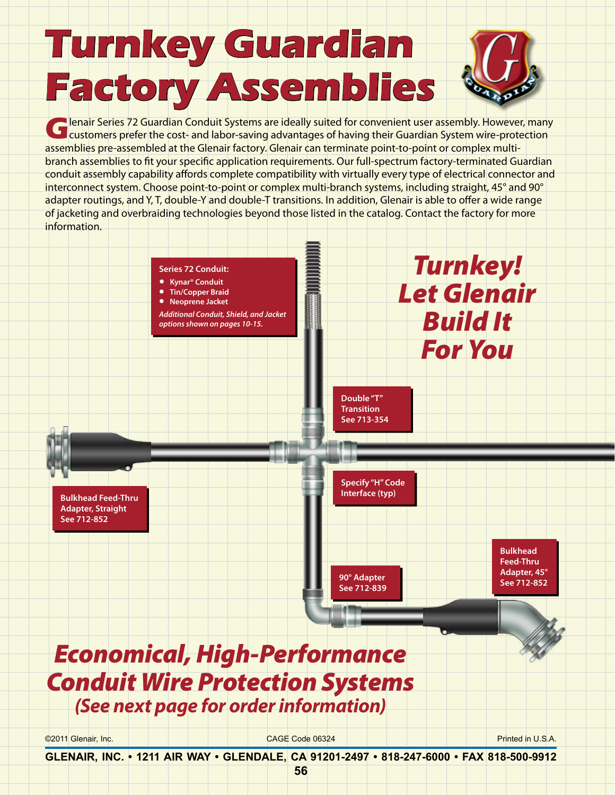## **Turnkey Guardian Factory Assemblies**



**G**lenair Series 72 Guardian Conduit Systems are ideally suited for convenient user assembly. However, many customers prefer the cost- and labor-saving advantages of having their Guardian System wire-protection assemblies pre-assembled at the Glenair factory. Glenair can terminate point-to-point or complex multibranch assemblies to fit your specific application requirements. Our full-spectrum factory-terminated Guardian conduit assembly capability affords complete compatibility with virtually every type of electrical connector and interconnect system. Choose point-to-point or complex multi-branch systems, including straight, 45° and 90° adapter routings, and Y, T, double-Y and double-T transitions. In addition, Glenair is able to offer a wide range of jacketing and overbraiding technologies beyond those listed in the catalog. Contact the factory for more information.



**GLENAIR, INC. • 1211 AIR WAY • GLENDALE, CA 91201-2497 • 818-247-6000 • FAX 818-500-9912**